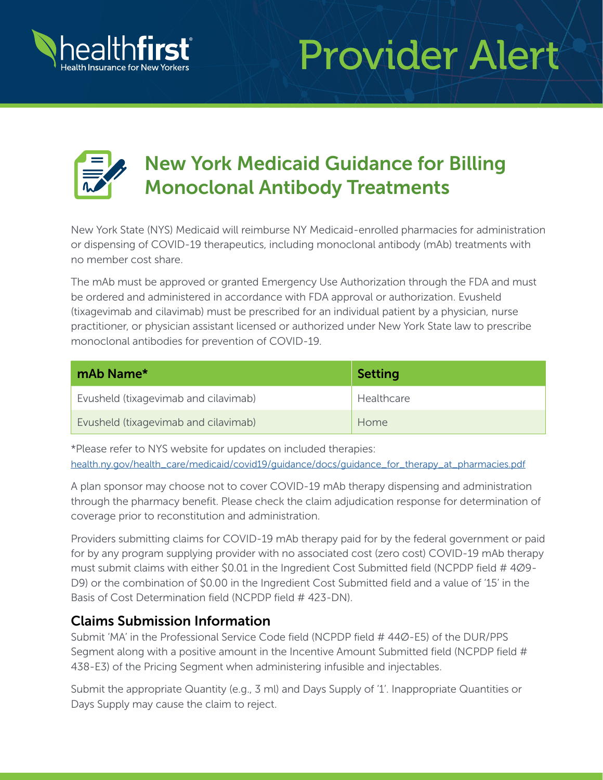

# Provider Alert



# New York Medicaid Guidance for Billing Monoclonal Antibody Treatments

New York State (NYS) Medicaid will reimburse NY Medicaid-enrolled pharmacies for administration or dispensing of COVID-19 therapeutics, including monoclonal antibody (mAb) treatments with no member cost share.

The mAb must be approved or granted Emergency Use Authorization through the FDA and must be ordered and administered in accordance with FDA approval or authorization. Evusheld (tixagevimab and cilavimab) must be prescribed for an individual patient by a physician, nurse practitioner, or physician assistant licensed or authorized under New York State law to prescribe monoclonal antibodies for prevention of COVID-19.

| mAb Name*                            | <b>Setting</b> |
|--------------------------------------|----------------|
| Evusheld (tixagevimab and cilavimab) | Healthcare     |
| Evusheld (tixagevimab and cilavimab) | Home           |

\*Please refer to NYS website for updates on included therapies: [health.ny.gov/health\\_care/medicaid/covid19/guidance/docs/guidance\\_for\\_therapy\\_at\\_pharmacies.pdf](http://health.ny.gov/health_care/medicaid/covid19/guidance/docs/guidance_for_therapy_at_pharmacies.pdf)

A plan sponsor may choose not to cover COVID-19 mAb therapy dispensing and administration through the pharmacy benefit. Please check the claim adjudication response for determination of coverage prior to reconstitution and administration.

Providers submitting claims for COVID-19 mAb therapy paid for by the federal government or paid for by any program supplying provider with no associated cost (zero cost) COVID-19 mAb therapy must submit claims with either \$0.01 in the Ingredient Cost Submitted field (NCPDP field # 4Ø9- D9) or the combination of \$0.00 in the Ingredient Cost Submitted field and a value of '15' in the Basis of Cost Determination field (NCPDP field # 423-DN).

#### Claims Submission Information

Submit 'MA' in the Professional Service Code field (NCPDP field # 44Ø-E5) of the DUR/PPS Segment along with a positive amount in the Incentive Amount Submitted field (NCPDP field # 438-E3) of the Pricing Segment when administering infusible and injectables.

Submit the appropriate Quantity (e.g., 3 ml) and Days Supply of '1'. Inappropriate Quantities or Days Supply may cause the claim to reject.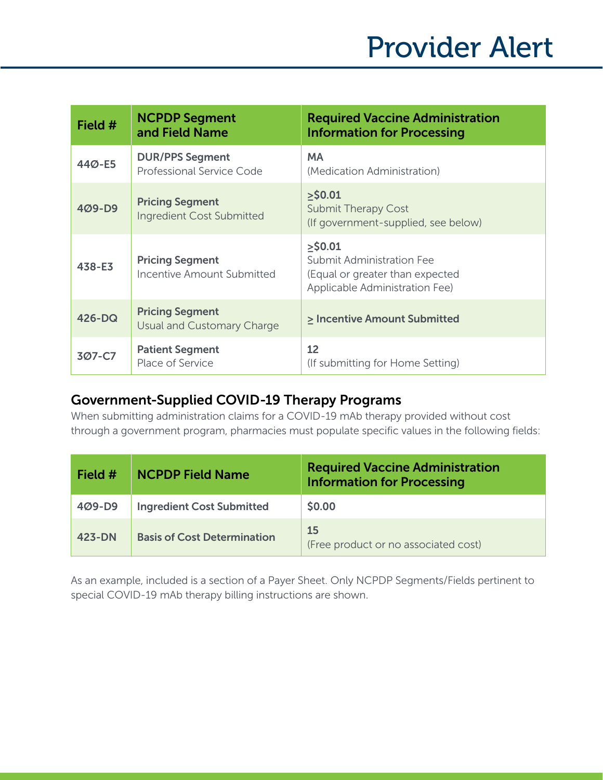| Field # | <b>NCPDP Segment</b><br>and Field Name               | <b>Required Vaccine Administration</b><br><b>Information for Processing</b>                                  |
|---------|------------------------------------------------------|--------------------------------------------------------------------------------------------------------------|
| 44Ø-E5  | <b>DUR/PPS Segment</b><br>Professional Service Code  | <b>MA</b><br>(Medication Administration)                                                                     |
| 409-D9  | <b>Pricing Segment</b><br>Ingredient Cost Submitted  | $>$ \$0.01<br><b>Submit Therapy Cost</b><br>(If government-supplied, see below)                              |
| 438-E3  | <b>Pricing Segment</b><br>Incentive Amount Submitted | $>$ \$0.01<br>Submit Administration Fee<br>(Equal or greater than expected<br>Applicable Administration Fee) |
| 426-DQ  | <b>Pricing Segment</b><br>Usual and Customary Charge | > Incentive Amount Submitted                                                                                 |
| 3Ø7-C7  | <b>Patient Segment</b><br>Place of Service           | 12<br>(If submitting for Home Setting)                                                                       |

## Government-Supplied COVID-19 Therapy Programs

When submitting administration claims for a COVID-19 mAb therapy provided without cost through a government program, pharmacies must populate specific values in the following fields:

| Field #    | <b>NCPDP Field Name</b>            | <b>Required Vaccine Administration</b><br><b>Information for Processing</b> |
|------------|------------------------------------|-----------------------------------------------------------------------------|
| $409 - D9$ | <b>Ingredient Cost Submitted</b>   | \$0.00                                                                      |
| 423-DN     | <b>Basis of Cost Determination</b> | 15<br>(Free product or no associated cost)                                  |

As an example, included is a section of a Payer Sheet. Only NCPDP Segments/Fields pertinent to special COVID-19 mAb therapy billing instructions are shown.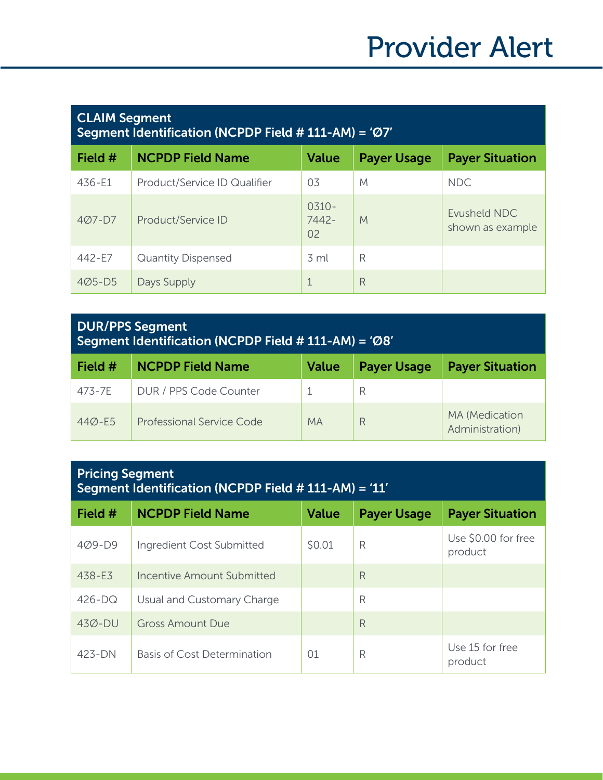| <b>CLAIM Segment</b><br>Segment Identification (NCPDP Field # 111-AM) = 'Ø7' |                              |                          |                    |                                  |
|------------------------------------------------------------------------------|------------------------------|--------------------------|--------------------|----------------------------------|
| Field #                                                                      | <b>NCPDP Field Name</b>      | <b>Value</b>             | <b>Payer Usage</b> | <b>Payer Situation</b>           |
| 436-E1                                                                       | Product/Service ID Qualifier | 0 <sub>3</sub>           | M                  | <b>NDC</b>                       |
| $407 - D7$                                                                   | Product/Service ID           | $0.310 -$<br>7442-<br>02 | M                  | Evusheld NDC<br>shown as example |
| 442-E7                                                                       | <b>Quantity Dispensed</b>    | $\overline{3}$ ml        | R                  |                                  |
| $405 - D5$                                                                   | Days Supply                  | 1                        | R                  |                                  |

#### DUR/PPS Segment Segment Identification (NCPDP Field # 111-AM) = 'Ø8'

| Field #    | <b>NCPDP Field Name</b>   | <b>Value</b> | <b>Payer Usage</b> | <b>Payer Situation</b>                   |
|------------|---------------------------|--------------|--------------------|------------------------------------------|
| 473-7E     | DUR / PPS Code Counter    |              |                    |                                          |
| $440 - E5$ | Professional Service Code | <b>MA</b>    |                    | <b>MA</b> (Medication<br>Administration) |

## Pricing Segment Segment Identification (NCPDP Field # 111-AM) = '11'

| Field $#$  | <b>NCPDP Field Name</b>     | Value          | <b>Payer Usage</b> | <b>Payer Situation</b>         |
|------------|-----------------------------|----------------|--------------------|--------------------------------|
| $409 - D9$ | Ingredient Cost Submitted   | \$0.01         | R                  | Use \$0.00 for free<br>product |
| 438-E3     | Incentive Amount Submitted  |                | R                  |                                |
| $426 - DQ$ | Usual and Customary Charge  |                | R                  |                                |
| $430 - DU$ | <b>Gross Amount Due</b>     |                | R                  |                                |
| 423-DN     | Basis of Cost Determination | O <sub>1</sub> | R                  | Use 15 for free<br>product     |